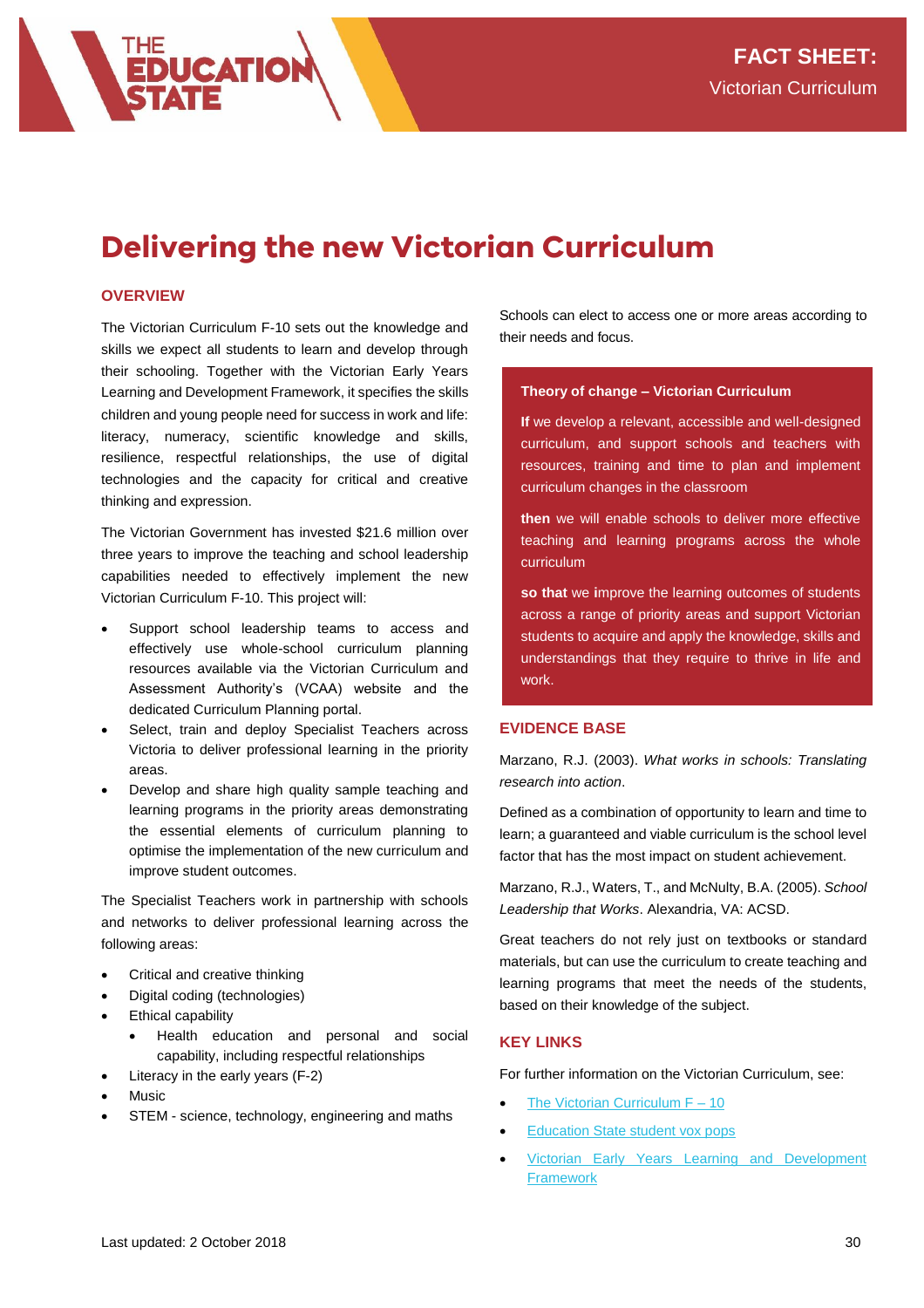# **Delivering the new Victorian Curriculum**

# **OVERVIEW**

**EDUCATION** 

The Victorian Curriculum F-10 sets out the knowledge and skills we expect all students to learn and develop through their schooling. Together with the Victorian Early Years Learning and Development Framework, it specifies the skills children and young people need for success in work and life: literacy, numeracy, scientific knowledge and skills, resilience, respectful relationships, the use of digital technologies and the capacity for critical and creative thinking and expression.

The Victorian Government has invested \$21.6 million over three years to improve the teaching and school leadership capabilities needed to effectively implement the new Victorian Curriculum F-10. This project will:

- Support school leadership teams to access and effectively use whole-school curriculum planning resources available via the Victorian Curriculum and Assessment Authority's (VCAA) website and the dedicated Curriculum Planning portal.
- Select, train and deploy Specialist Teachers across Victoria to deliver professional learning in the priority areas.
- Develop and share high quality sample teaching and learning programs in the priority areas demonstrating the essential elements of curriculum planning to optimise the implementation of the new curriculum and improve student outcomes.

The Specialist Teachers work in partnership with schools and networks to deliver professional learning across the following areas:

- Critical and creative thinking
- Digital coding (technologies)
- Ethical capability
	- Health education and personal and social capability, including respectful relationships
- Literacy in the early years (F-2)
- Music
- STEM science, technology, engineering and maths

Schools can elect to access one or more areas according to their needs and focus.

#### **Theory of change – Victorian Curriculum**

**If** we develop a relevant, accessible and well-designed curriculum, and support schools and teachers with resources, training and time to plan and implement curriculum changes in the classroom

**then** we will enable schools to deliver more effective teaching and learning programs across the whole curriculum

**so that** we **i**mprove the learning outcomes of students across a range of priority areas and support Victorian students to acquire and apply the knowledge, skills and understandings that they require to thrive in life and work.

### **EVIDENCE BASE**

Marzano, R.J. (2003). *What works in schools: Translating research into action*.

Defined as a combination of opportunity to learn and time to learn; a guaranteed and viable curriculum is the school level factor that has the most impact on student achievement.

Marzano, R.J., Waters, T., and McNulty, B.A. (2005). *School Leadership that Works*. Alexandria, VA: ACSD.

Great teachers do not rely just on textbooks or standard materials, but can use the curriculum to create teaching and learning programs that meet the needs of the students, based on their knowledge of the subject.

## **KEY LINKS**

For further information on the Victorian Curriculum, see:

- [The Victorian Curriculum F –](http://victoriancurriculum.vcaa.vic.edu.au/) 10
- [Education State student vox pops](https://www.youtube.com/watch?v=DpGRTVzjffw)
- [Victorian Early Years Learning and Development](http://www.education.vic.gov.au/childhood/providers/edcare/pages/veyladf.aspx?Redirect=1)  **[Framework](http://www.education.vic.gov.au/childhood/providers/edcare/pages/veyladf.aspx?Redirect=1)**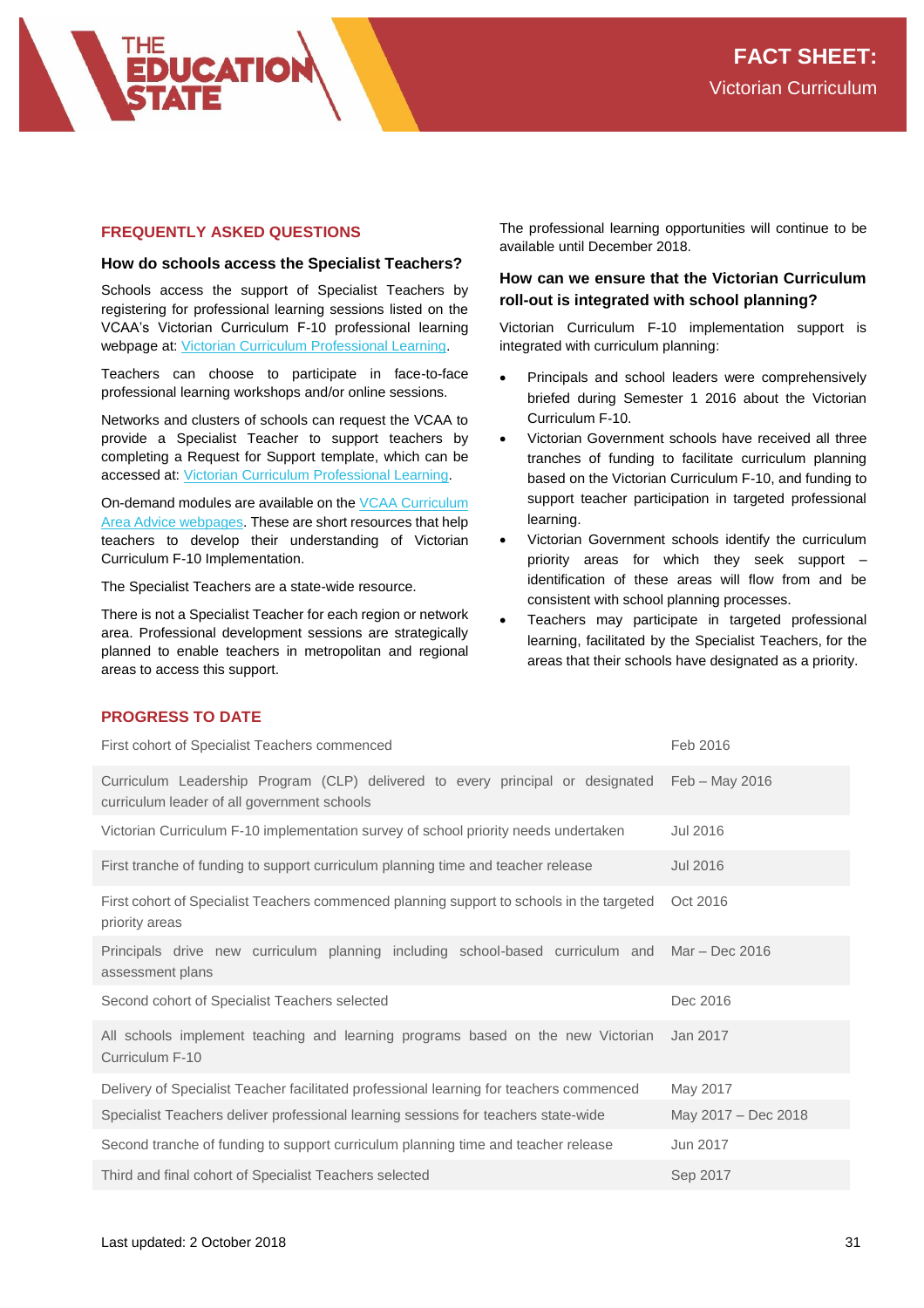# **FREQUENTLY ASKED QUESTIONS**

#### **How do schools access the Specialist Teachers?**

Schools access the support of Specialist Teachers by registering for professional learning sessions listed on the VCAA's Victorian Curriculum F-10 professional learning webpage at[: Victorian Curriculum Professional Learning.](https://www.vcaa.vic.edu.au/Pages/foundation10/viccurriculum/proflearning/complete-professional-learning.aspx)

Teachers can choose to participate in face-to-face professional learning workshops and/or online sessions.

Networks and clusters of schools can request the VCAA to provide a Specialist Teacher to support teachers by completing a Request for Support template, which can be accessed at: [Victorian Curriculum Professional Learning.](https://www.vcaa.vic.edu.au/Pages/foundation10/viccurriculum/proflearning/complete-professional-learning.aspx)

On-demand modules are available on th[e VCAA Curriculum](https://www.vcaa.vic.edu.au/Pages/foundation10/viccurriculum/curriculum-area-advice.aspx)  [Area Advice webpages.](https://www.vcaa.vic.edu.au/Pages/foundation10/viccurriculum/curriculum-area-advice.aspx) These are short resources that help teachers to develop their understanding of Victorian Curriculum F-10 Implementation.

The Specialist Teachers are a state-wide resource.

There is not a Specialist Teacher for each region or network area. Professional development sessions are strategically planned to enable teachers in metropolitan and regional areas to access this support.

The professional learning opportunities will continue to be available until December 2018.

# **How can we ensure that the Victorian Curriculum roll-out is integrated with school planning?**

Victorian Curriculum F-10 implementation support is integrated with curriculum planning:

- Principals and school leaders were comprehensively briefed during Semester 1 2016 about the Victorian Curriculum F-10.
- Victorian Government schools have received all three tranches of funding to facilitate curriculum planning based on the Victorian Curriculum F-10, and funding to support teacher participation in targeted professional learning.
- Victorian Government schools identify the curriculum priority areas for which they seek support – identification of these areas will flow from and be consistent with school planning processes.
- Teachers may participate in targeted professional learning, facilitated by the Specialist Teachers, for the areas that their schools have designated as a priority.

## **PROGRESS TO DATE**

| First cohort of Specialist Teachers commenced                                                                                 | Feb 2016            |
|-------------------------------------------------------------------------------------------------------------------------------|---------------------|
| Curriculum Leadership Program (CLP) delivered to every principal or designated<br>curriculum leader of all government schools | Feb - May 2016      |
| Victorian Curriculum F-10 implementation survey of school priority needs undertaken                                           | Jul 2016            |
| First tranche of funding to support curriculum planning time and teacher release                                              | Jul 2016            |
| First cohort of Specialist Teachers commenced planning support to schools in the targeted<br>priority areas                   | Oct 2016            |
| Principals drive new curriculum planning including school-based curriculum and<br>assessment plans                            | Mar – Dec 2016      |
| Second cohort of Specialist Teachers selected                                                                                 | Dec 2016            |
| All schools implement teaching and learning programs based on the new Victorian<br>Curriculum F-10                            | Jan 2017            |
| Delivery of Specialist Teacher facilitated professional learning for teachers commenced                                       | May 2017            |
| Specialist Teachers deliver professional learning sessions for teachers state-wide                                            | May 2017 - Dec 2018 |
| Second tranche of funding to support curriculum planning time and teacher release                                             | Jun 2017            |
| Third and final cohort of Specialist Teachers selected                                                                        | Sep 2017            |
|                                                                                                                               |                     |